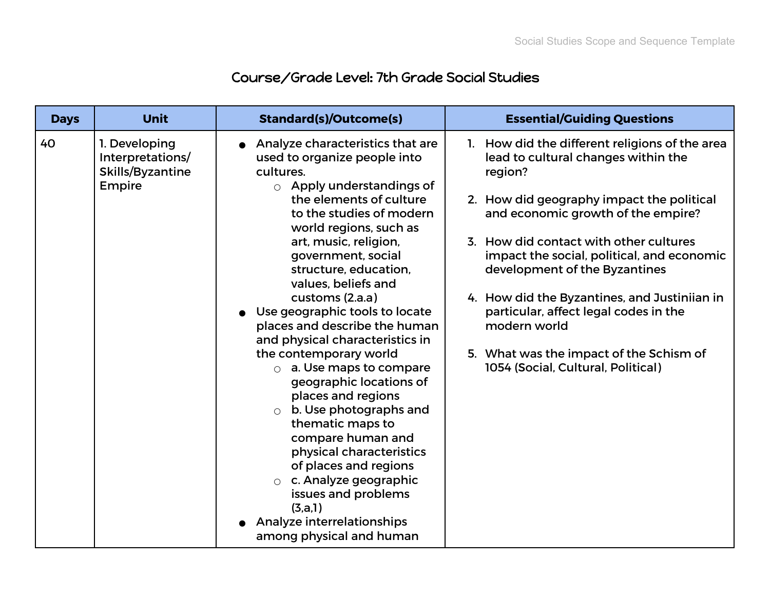## Course/Grade Level: 7th Grade Social Studies

| <b>Days</b> | <b>Unit</b>                                                     | <b>Standard(s)/Outcome(s)</b>                                                                                                                                                                                                                                                                                                                                                                                                                                                                                                                                                                                                                                                                                                                                                                       | <b>Essential/Guiding Questions</b>                                                                                                                                                                                                                                                                                                                                                                                                                                                                     |
|-------------|-----------------------------------------------------------------|-----------------------------------------------------------------------------------------------------------------------------------------------------------------------------------------------------------------------------------------------------------------------------------------------------------------------------------------------------------------------------------------------------------------------------------------------------------------------------------------------------------------------------------------------------------------------------------------------------------------------------------------------------------------------------------------------------------------------------------------------------------------------------------------------------|--------------------------------------------------------------------------------------------------------------------------------------------------------------------------------------------------------------------------------------------------------------------------------------------------------------------------------------------------------------------------------------------------------------------------------------------------------------------------------------------------------|
| 40          | 1. Developing<br>Interpretations/<br>Skills/Byzantine<br>Empire | Analyze characteristics that are<br>used to organize people into<br>cultures.<br>$\circ$ Apply understandings of<br>the elements of culture<br>to the studies of modern<br>world regions, such as<br>art, music, religion,<br>government, social<br>structure, education,<br>values, beliefs and<br>customs (2.a.a)<br>Use geographic tools to locate<br>places and describe the human<br>and physical characteristics in<br>the contemporary world<br>$\circ$ a. Use maps to compare<br>geographic locations of<br>places and regions<br>$\circ$ b. Use photographs and<br>thematic maps to<br>compare human and<br>physical characteristics<br>of places and regions<br>$\circ$ c. Analyze geographic<br>issues and problems<br>(3,a,1)<br>Analyze interrelationships<br>among physical and human | 1. How did the different religions of the area<br>lead to cultural changes within the<br>region?<br>2. How did geography impact the political<br>and economic growth of the empire?<br>3. How did contact with other cultures<br>impact the social, political, and economic<br>development of the Byzantines<br>4. How did the Byzantines, and Justiniian in<br>particular, affect legal codes in the<br>modern world<br>5. What was the impact of the Schism of<br>1054 (Social, Cultural, Political) |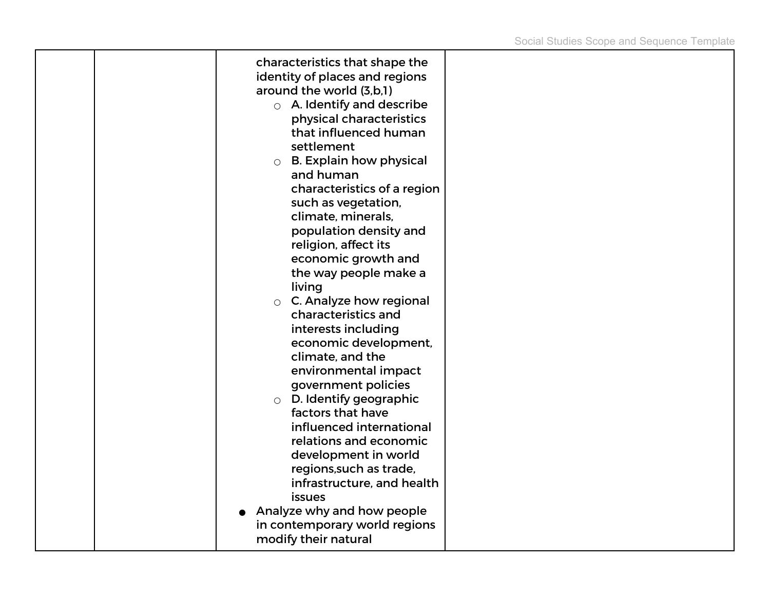| characteristics that shape the<br>identity of places and regions<br>around the world (3,b,1)<br>$\circ$ A. Identify and describe<br>physical characteristics<br>that influenced human<br>settlement<br><b>B. Explain how physical</b><br>$\circ$<br>and human<br>characteristics of a region<br>such as vegetation,<br>climate, minerals,<br>population density and<br>religion, affect its<br>economic growth and<br>the way people make a<br>living<br>C. Analyze how regional<br>$\bigcirc$<br>characteristics and<br>interests including<br>economic development,<br>climate, and the<br>environmental impact<br>government policies<br>$\circ$ D. Identify geographic<br>factors that have<br>influenced international<br>relations and economic<br>development in world<br>regions, such as trade,<br>infrastructure, and health<br>issues<br>Analyze why and how people |  |
|--------------------------------------------------------------------------------------------------------------------------------------------------------------------------------------------------------------------------------------------------------------------------------------------------------------------------------------------------------------------------------------------------------------------------------------------------------------------------------------------------------------------------------------------------------------------------------------------------------------------------------------------------------------------------------------------------------------------------------------------------------------------------------------------------------------------------------------------------------------------------------|--|
| in contemporary world regions<br>modify their natural                                                                                                                                                                                                                                                                                                                                                                                                                                                                                                                                                                                                                                                                                                                                                                                                                          |  |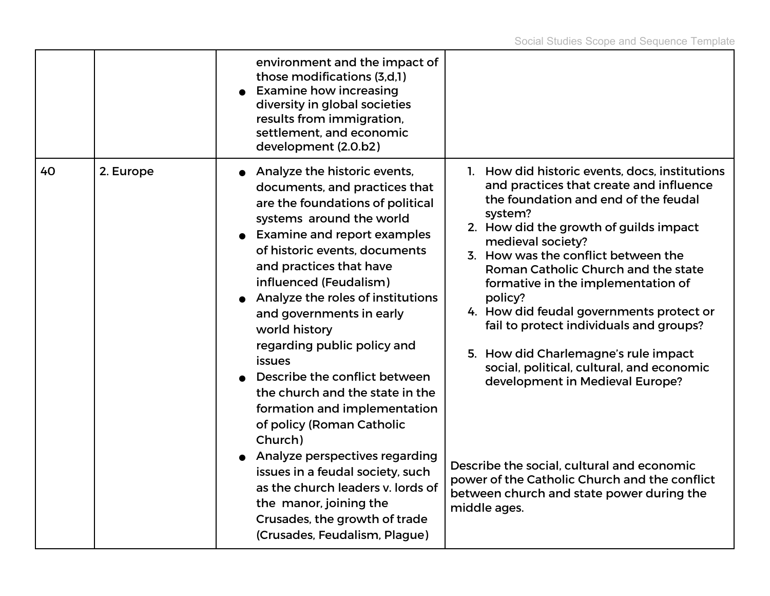|    |           | environment and the impact of<br>those modifications (3,d,1)<br><b>Examine how increasing</b><br>diversity in global societies<br>results from immigration,<br>settlement, and economic<br>development (2.0.b2)                                                                                                                                                                                                                                                                                                                                                                                                                                                                                                                                  |                                                                                                                                                                                                                                                                                                                                                                                                                                                                                                                                                                                                                                                                                                                       |
|----|-----------|--------------------------------------------------------------------------------------------------------------------------------------------------------------------------------------------------------------------------------------------------------------------------------------------------------------------------------------------------------------------------------------------------------------------------------------------------------------------------------------------------------------------------------------------------------------------------------------------------------------------------------------------------------------------------------------------------------------------------------------------------|-----------------------------------------------------------------------------------------------------------------------------------------------------------------------------------------------------------------------------------------------------------------------------------------------------------------------------------------------------------------------------------------------------------------------------------------------------------------------------------------------------------------------------------------------------------------------------------------------------------------------------------------------------------------------------------------------------------------------|
| 40 | 2. Europe | • Analyze the historic events,<br>documents, and practices that<br>are the foundations of political<br>systems around the world<br><b>Examine and report examples</b><br>of historic events, documents<br>and practices that have<br>influenced (Feudalism)<br>Analyze the roles of institutions<br>and governments in early<br>world history<br>regarding public policy and<br><b>issues</b><br>Describe the conflict between<br>the church and the state in the<br>formation and implementation<br>of policy (Roman Catholic<br>Church)<br>Analyze perspectives regarding<br>issues in a feudal society, such<br>as the church leaders v. lords of<br>the manor, joining the<br>Crusades, the growth of trade<br>(Crusades, Feudalism, Plague) | 1. How did historic events, docs, institutions<br>and practices that create and influence<br>the foundation and end of the feudal<br>system?<br>2. How did the growth of guilds impact<br>medieval society?<br>3. How was the conflict between the<br>Roman Catholic Church and the state<br>formative in the implementation of<br>policy?<br>4. How did feudal governments protect or<br>fail to protect individuals and groups?<br>5. How did Charlemagne's rule impact<br>social, political, cultural, and economic<br>development in Medieval Europe?<br>Describe the social, cultural and economic<br>power of the Catholic Church and the conflict<br>between church and state power during the<br>middle ages. |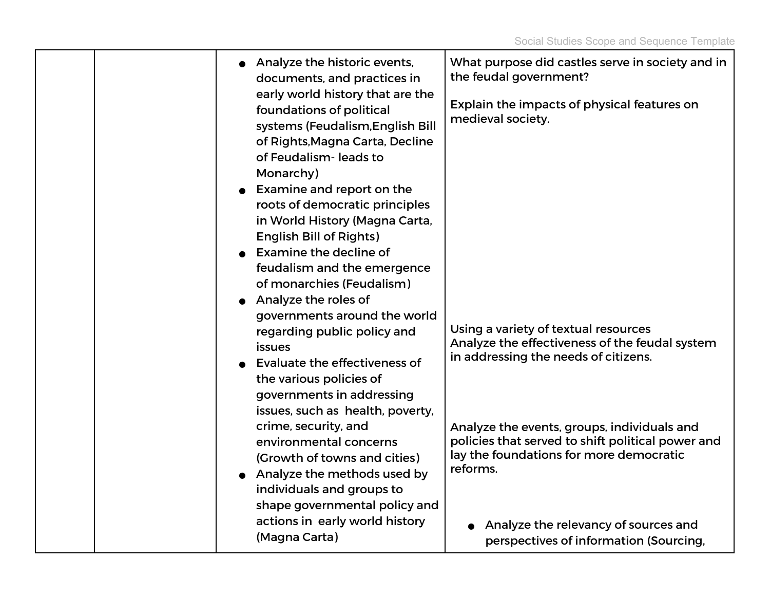|  | • Analyze the historic events,<br>documents, and practices in<br>early world history that are the<br>foundations of political | What purpose did castles serve in society and in<br>the feudal government?<br>Explain the impacts of physical features on                               |
|--|-------------------------------------------------------------------------------------------------------------------------------|---------------------------------------------------------------------------------------------------------------------------------------------------------|
|  | systems (Feudalism, English Bill<br>of Rights, Magna Carta, Decline<br>of Feudalism-leads to                                  | medieval society.                                                                                                                                       |
|  | Monarchy)<br>$\bullet$ Examine and report on the<br>roots of democratic principles<br>in World History (Magna Carta,          |                                                                                                                                                         |
|  | <b>English Bill of Rights)</b><br>Examine the decline of<br>feudalism and the emergence<br>of monarchies (Feudalism)          |                                                                                                                                                         |
|  | Analyze the roles of<br>governments around the world                                                                          |                                                                                                                                                         |
|  | regarding public policy and<br><i>issues</i>                                                                                  | Using a variety of textual resources<br>Analyze the effectiveness of the feudal system<br>in addressing the needs of citizens.                          |
|  | Evaluate the effectiveness of<br>the various policies of<br>governments in addressing<br>issues, such as health, poverty,     |                                                                                                                                                         |
|  | crime, security, and<br>environmental concerns<br>(Growth of towns and cities)<br>• Analyze the methods used by               | Analyze the events, groups, individuals and<br>policies that served to shift political power and<br>lay the foundations for more democratic<br>reforms. |
|  | individuals and groups to<br>shape governmental policy and<br>actions in early world history                                  | Analyze the relevancy of sources and                                                                                                                    |
|  | (Magna Carta)                                                                                                                 | perspectives of information (Sourcing,                                                                                                                  |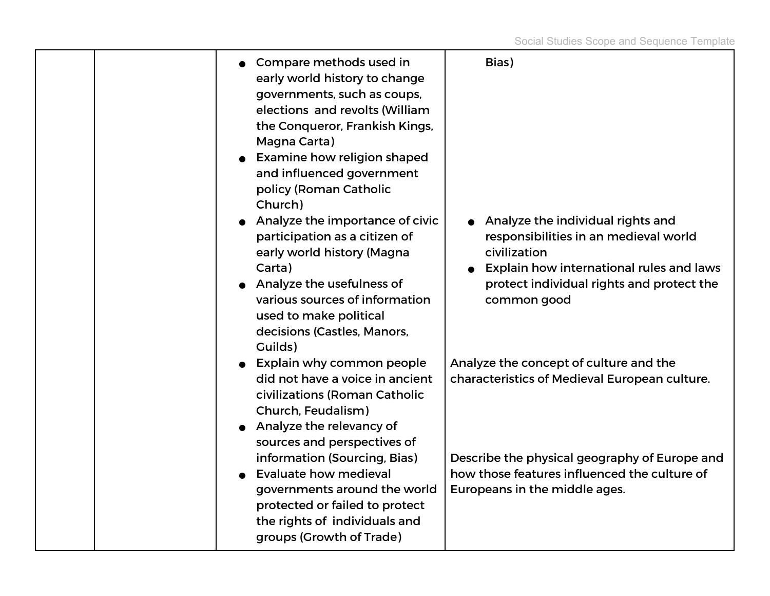Social Studies Scope and Sequence Template

| Compare methods used in<br>early world history to change<br>governments, such as coups,<br>elections and revolts (William<br>the Conqueror, Frankish Kings,<br>Magna Carta)<br>Examine how religion shaped<br>and influenced government<br>policy (Roman Catholic<br>Church)<br>Analyze the importance of civic<br>participation as a citizen of<br>early world history (Magna<br>Carta)<br>Analyze the usefulness of<br>various sources of information<br>used to make political<br>decisions (Castles, Manors,<br>Guilds) | Bias)<br>Analyze the individual rights and<br>responsibilities in an medieval world<br>civilization<br>Explain how international rules and laws<br>protect individual rights and protect the<br>common good               |
|-----------------------------------------------------------------------------------------------------------------------------------------------------------------------------------------------------------------------------------------------------------------------------------------------------------------------------------------------------------------------------------------------------------------------------------------------------------------------------------------------------------------------------|---------------------------------------------------------------------------------------------------------------------------------------------------------------------------------------------------------------------------|
| Explain why common people<br>did not have a voice in ancient<br>civilizations (Roman Catholic<br>Church, Feudalism)<br>Analyze the relevancy of<br>sources and perspectives of<br>information (Sourcing, Bias)<br><b>Evaluate how medieval</b><br>governments around the world<br>protected or failed to protect<br>the rights of individuals and                                                                                                                                                                           | Analyze the concept of culture and the<br>characteristics of Medieval European culture.<br>Describe the physical geography of Europe and<br>how those features influenced the culture of<br>Europeans in the middle ages. |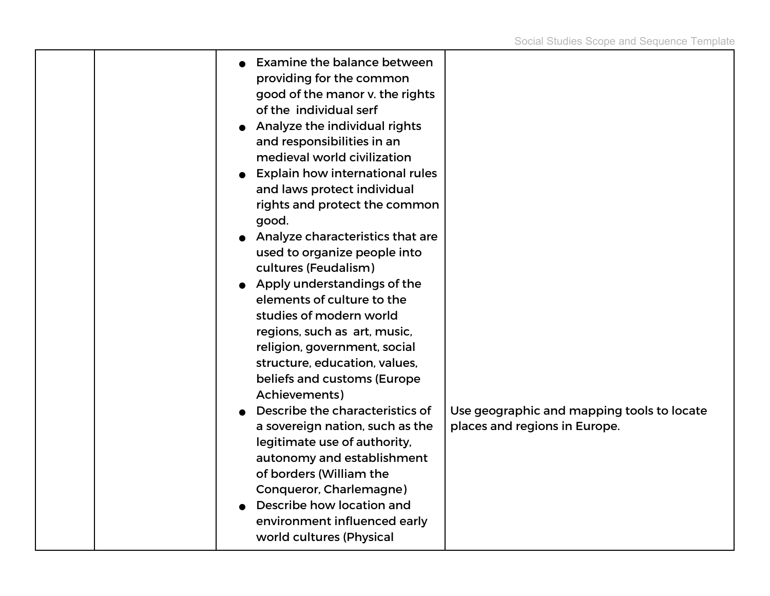| <b>Examine the balance between</b><br>providing for the common<br>good of the manor v. the rights<br>of the individual serf<br>Analyze the individual rights<br>and responsibilities in an<br>medieval world civilization<br><b>Explain how international rules</b><br>and laws protect individual<br>rights and protect the common<br>good.<br>Analyze characteristics that are<br>used to organize people into<br>cultures (Feudalism)<br>Apply understandings of the<br>elements of culture to the<br>studies of modern world<br>regions, such as art, music,<br>religion, government, social<br>structure, education, values,<br>beliefs and customs (Europe<br>Achievements) |                                                                             |
|-----------------------------------------------------------------------------------------------------------------------------------------------------------------------------------------------------------------------------------------------------------------------------------------------------------------------------------------------------------------------------------------------------------------------------------------------------------------------------------------------------------------------------------------------------------------------------------------------------------------------------------------------------------------------------------|-----------------------------------------------------------------------------|
| Describe the characteristics of<br>a sovereign nation, such as the<br>legitimate use of authority,<br>autonomy and establishment<br>of borders (William the<br>Conqueror, Charlemagne)<br>Describe how location and<br>environment influenced early<br>world cultures (Physical                                                                                                                                                                                                                                                                                                                                                                                                   | Use geographic and mapping tools to locate<br>places and regions in Europe. |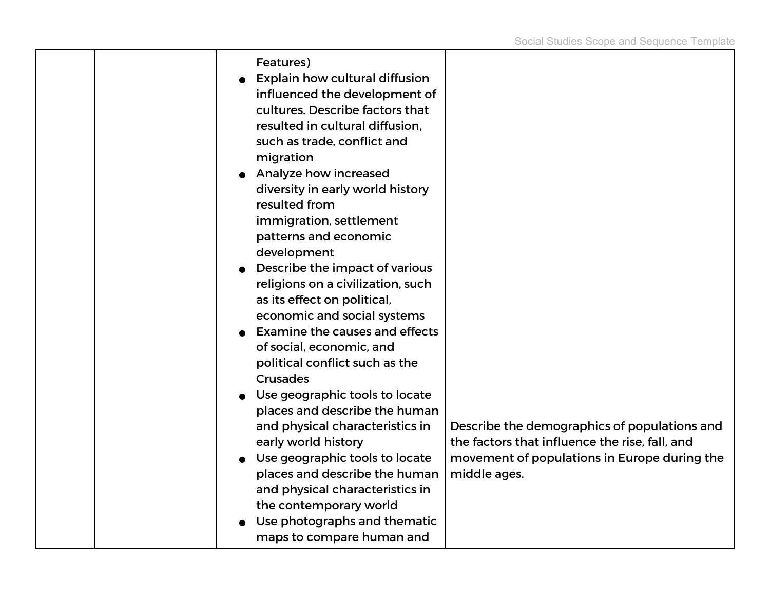|  | Features)                             |                                                |
|--|---------------------------------------|------------------------------------------------|
|  | <b>Explain how cultural diffusion</b> |                                                |
|  | influenced the development of         |                                                |
|  | cultures. Describe factors that       |                                                |
|  | resulted in cultural diffusion.       |                                                |
|  | such as trade, conflict and           |                                                |
|  |                                       |                                                |
|  | migration                             |                                                |
|  | Analyze how increased                 |                                                |
|  | diversity in early world history      |                                                |
|  | resulted from                         |                                                |
|  | immigration, settlement               |                                                |
|  | patterns and economic                 |                                                |
|  | development                           |                                                |
|  | Describe the impact of various        |                                                |
|  | religions on a civilization, such     |                                                |
|  | as its effect on political,           |                                                |
|  | economic and social systems           |                                                |
|  | <b>Examine the causes and effects</b> |                                                |
|  | of social, economic, and              |                                                |
|  | political conflict such as the        |                                                |
|  | <b>Crusades</b>                       |                                                |
|  | Use geographic tools to locate        |                                                |
|  | places and describe the human         |                                                |
|  | and physical characteristics in       | Describe the demographics of populations and   |
|  | early world history                   | the factors that influence the rise, fall, and |
|  | Use geographic tools to locate        | movement of populations in Europe during the   |
|  | places and describe the human         | middle ages.                                   |
|  | and physical characteristics in       |                                                |
|  | the contemporary world                |                                                |
|  | Use photographs and thematic          |                                                |
|  | maps to compare human and             |                                                |
|  |                                       |                                                |

т

┯

т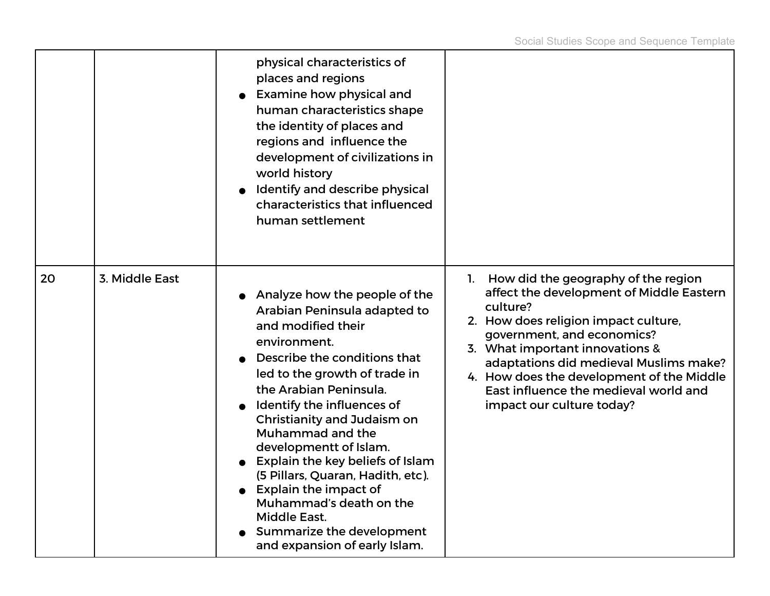|    |                | physical characteristics of<br>places and regions<br>• Examine how physical and<br>human characteristics shape<br>the identity of places and<br>regions and influence the<br>development of civilizations in<br>world history<br>Identify and describe physical<br>characteristics that influenced<br>human settlement                                                                                                                                                                                                          |                                                                                                                                                                                                                                                                                                                                                                         |
|----|----------------|---------------------------------------------------------------------------------------------------------------------------------------------------------------------------------------------------------------------------------------------------------------------------------------------------------------------------------------------------------------------------------------------------------------------------------------------------------------------------------------------------------------------------------|-------------------------------------------------------------------------------------------------------------------------------------------------------------------------------------------------------------------------------------------------------------------------------------------------------------------------------------------------------------------------|
| 20 | 3. Middle East | • Analyze how the people of the<br>Arabian Peninsula adapted to<br>and modified their<br>environment.<br>Describe the conditions that<br>led to the growth of trade in<br>the Arabian Peninsula.<br>Identify the influences of<br>Christianity and Judaism on<br>Muhammad and the<br>developmentt of Islam.<br>Explain the key beliefs of Islam<br>(5 Pillars, Quaran, Hadith, etc).<br>• Explain the impact of<br>Muhammad's death on the<br><b>Middle East.</b><br>Summarize the development<br>and expansion of early Islam. | How did the geography of the region<br>1.<br>affect the development of Middle Eastern<br>culture?<br>2. How does religion impact culture,<br>government, and economics?<br>3. What important innovations &<br>adaptations did medieval Muslims make?<br>4. How does the development of the Middle<br>East influence the medieval world and<br>impact our culture today? |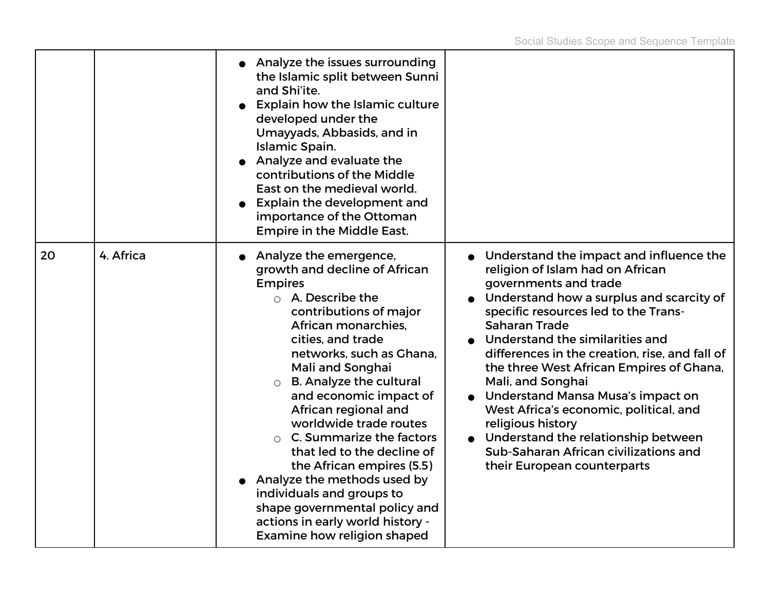|    |           | • Analyze the issues surrounding<br>the Islamic split between Sunni<br>and Shi'ite.<br><b>Explain how the Islamic culture</b><br>developed under the<br>Umayyads, Abbasids, and in<br>Islamic Spain.<br>Analyze and evaluate the<br>contributions of the Middle<br>East on the medieval world.<br>Explain the development and<br>importance of the Ottoman<br><b>Empire in the Middle East.</b>                                                                                                                                                                                                 |                                                                                                                                                                                                                                                                                                                                                                                                                                                                                                                                                                                           |
|----|-----------|-------------------------------------------------------------------------------------------------------------------------------------------------------------------------------------------------------------------------------------------------------------------------------------------------------------------------------------------------------------------------------------------------------------------------------------------------------------------------------------------------------------------------------------------------------------------------------------------------|-------------------------------------------------------------------------------------------------------------------------------------------------------------------------------------------------------------------------------------------------------------------------------------------------------------------------------------------------------------------------------------------------------------------------------------------------------------------------------------------------------------------------------------------------------------------------------------------|
| 20 | 4. Africa | Analyze the emergence,<br>growth and decline of African<br><b>Empires</b><br>$\circ$ A. Describe the<br>contributions of major<br>African monarchies.<br>cities, and trade<br>networks, such as Ghana,<br>Mali and Songhai<br><b>B. Analyze the cultural</b><br>and economic impact of<br>African regional and<br>worldwide trade routes<br>C. Summarize the factors<br>that led to the decline of<br>the African empires (5.5)<br>Analyze the methods used by<br>individuals and groups to<br>shape governmental policy and<br>actions in early world history -<br>Examine how religion shaped | Understand the impact and influence the<br>religion of Islam had on African<br>governments and trade<br>Understand how a surplus and scarcity of<br>specific resources led to the Trans-<br><b>Saharan Trade</b><br>Understand the similarities and<br>differences in the creation, rise, and fall of<br>the three West African Empires of Ghana,<br>Mali, and Songhai<br>Understand Mansa Musa's impact on<br>West Africa's economic, political, and<br>religious history<br>Understand the relationship between<br>Sub-Saharan African civilizations and<br>their European counterparts |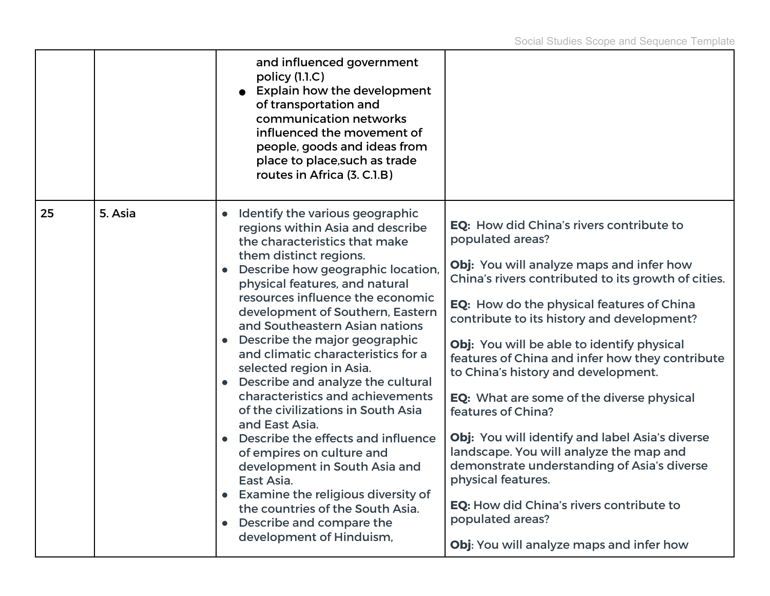|    |         | and influenced government<br>policy (1.1.C)<br><b>Explain how the development</b><br>of transportation and<br>communication networks<br>influenced the movement of<br>people, goods and ideas from<br>place to place, such as trade<br>routes in Africa (3. C.1.B)                                                                                                                                                                                                                                                                                                                                                                                                                                                                                                                                                                  |                                                                                                                                                                                                                                                                                                                                                                                                                                                                                                                                                                                                                                                                                                                                                      |
|----|---------|-------------------------------------------------------------------------------------------------------------------------------------------------------------------------------------------------------------------------------------------------------------------------------------------------------------------------------------------------------------------------------------------------------------------------------------------------------------------------------------------------------------------------------------------------------------------------------------------------------------------------------------------------------------------------------------------------------------------------------------------------------------------------------------------------------------------------------------|------------------------------------------------------------------------------------------------------------------------------------------------------------------------------------------------------------------------------------------------------------------------------------------------------------------------------------------------------------------------------------------------------------------------------------------------------------------------------------------------------------------------------------------------------------------------------------------------------------------------------------------------------------------------------------------------------------------------------------------------------|
| 25 | 5. Asia | Identify the various geographic<br>$\bullet$<br>regions within Asia and describe<br>the characteristics that make<br>them distinct regions.<br>Describe how geographic location,<br>$\bullet$<br>physical features, and natural<br>resources influence the economic<br>development of Southern, Eastern<br>and Southeastern Asian nations<br>• Describe the major geographic<br>and climatic characteristics for a<br>selected region in Asia.<br>Describe and analyze the cultural<br>characteristics and achievements<br>of the civilizations in South Asia<br>and East Asia.<br>Describe the effects and influence<br>of empires on culture and<br>development in South Asia and<br>East Asia.<br>Examine the religious diversity of<br>the countries of the South Asia.<br>Describe and compare the<br>development of Hinduism, | EQ: How did China's rivers contribute to<br>populated areas?<br>Obj: You will analyze maps and infer how<br>China's rivers contributed to its growth of cities.<br>EQ: How do the physical features of China<br>contribute to its history and development?<br>Obj: You will be able to identify physical<br>features of China and infer how they contribute<br>to China's history and development.<br>EQ: What are some of the diverse physical<br>features of China?<br>Obj: You will identify and label Asia's diverse<br>landscape. You will analyze the map and<br>demonstrate understanding of Asia's diverse<br>physical features.<br>EQ: How did China's rivers contribute to<br>populated areas?<br>Obj: You will analyze maps and infer how |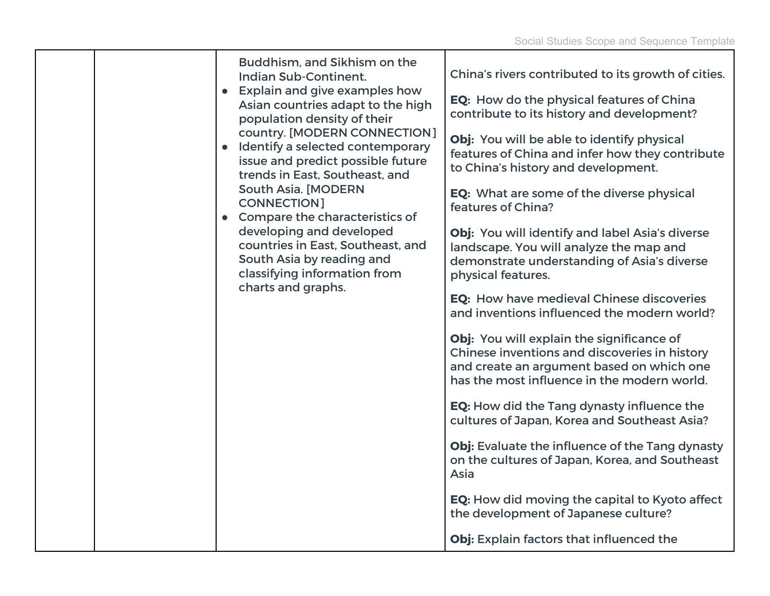| Buddhism, and Sikhism on the<br><b>Indian Sub-Continent.</b><br>• Explain and give examples how<br>Asian countries adapt to the high<br>population density of their<br>country. [MODERN CONNECTION]<br>• Identify a selected contemporary<br>issue and predict possible future<br>trends in East, Southeast, and<br><b>South Asia. [MODERN</b><br><b>CONNECTION]</b><br>• Compare the characteristics of<br>developing and developed<br>countries in East, Southeast, and<br>South Asia by reading and<br>classifying information from<br>charts and graphs. | China's rivers contributed to its growth of cities.<br>EQ: How do the physical features of China<br>contribute to its history and development?<br>Obj: You will be able to identify physical<br>features of China and infer how they contribute<br>to China's history and development.<br>EQ: What are some of the diverse physical<br>features of China?<br>Obj: You will identify and label Asia's diverse<br>landscape. You will analyze the map and<br>demonstrate understanding of Asia's diverse<br>physical features.<br>EQ: How have medieval Chinese discoveries<br>and inventions influenced the modern world?<br>Obj: You will explain the significance of<br>Chinese inventions and discoveries in history<br>and create an argument based on which one<br>has the most influence in the modern world.<br><b>EQ:</b> How did the Tang dynasty influence the<br>cultures of Japan, Korea and Southeast Asia?<br>Obj: Evaluate the influence of the Tang dynasty<br>on the cultures of Japan, Korea, and Southeast<br>Asia<br>EQ: How did moving the capital to Kyoto affect<br>the development of Japanese culture?<br>Obj: Explain factors that influenced the |
|--------------------------------------------------------------------------------------------------------------------------------------------------------------------------------------------------------------------------------------------------------------------------------------------------------------------------------------------------------------------------------------------------------------------------------------------------------------------------------------------------------------------------------------------------------------|----------------------------------------------------------------------------------------------------------------------------------------------------------------------------------------------------------------------------------------------------------------------------------------------------------------------------------------------------------------------------------------------------------------------------------------------------------------------------------------------------------------------------------------------------------------------------------------------------------------------------------------------------------------------------------------------------------------------------------------------------------------------------------------------------------------------------------------------------------------------------------------------------------------------------------------------------------------------------------------------------------------------------------------------------------------------------------------------------------------------------------------------------------------------------|
|--------------------------------------------------------------------------------------------------------------------------------------------------------------------------------------------------------------------------------------------------------------------------------------------------------------------------------------------------------------------------------------------------------------------------------------------------------------------------------------------------------------------------------------------------------------|----------------------------------------------------------------------------------------------------------------------------------------------------------------------------------------------------------------------------------------------------------------------------------------------------------------------------------------------------------------------------------------------------------------------------------------------------------------------------------------------------------------------------------------------------------------------------------------------------------------------------------------------------------------------------------------------------------------------------------------------------------------------------------------------------------------------------------------------------------------------------------------------------------------------------------------------------------------------------------------------------------------------------------------------------------------------------------------------------------------------------------------------------------------------------|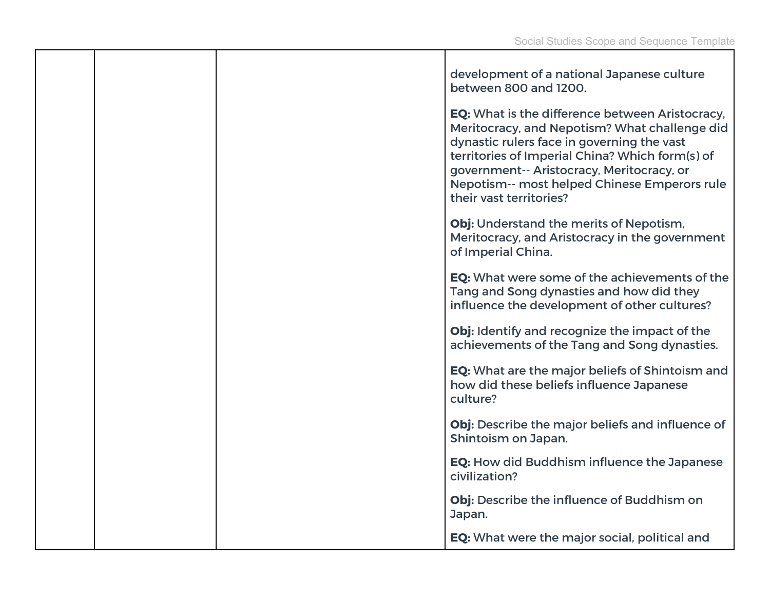|  | development of a national Japanese culture<br>between 800 and 1200.                                                                                                                                                                                                                                                              |
|--|----------------------------------------------------------------------------------------------------------------------------------------------------------------------------------------------------------------------------------------------------------------------------------------------------------------------------------|
|  | <b>EQ:</b> What is the difference between Aristocracy,<br>Meritocracy, and Nepotism? What challenge did<br>dynastic rulers face in governing the vast<br>territories of Imperial China? Which form(s) of<br>government-- Aristocracy, Meritocracy, or<br>Nepotism-- most helped Chinese Emperors rule<br>their vast territories? |
|  | Obj: Understand the merits of Nepotism,<br>Meritocracy, and Aristocracy in the government<br>of Imperial China.                                                                                                                                                                                                                  |
|  | EQ: What were some of the achievements of the<br>Tang and Song dynasties and how did they<br>influence the development of other cultures?                                                                                                                                                                                        |
|  | Obj: Identify and recognize the impact of the<br>achievements of the Tang and Song dynasties.                                                                                                                                                                                                                                    |
|  | EQ: What are the major beliefs of Shintoism and<br>how did these beliefs influence Japanese<br>culture?                                                                                                                                                                                                                          |
|  | Obj: Describe the major beliefs and influence of<br>Shintoism on Japan.                                                                                                                                                                                                                                                          |
|  | <b>EQ: How did Buddhism influence the Japanese</b><br>civilization?                                                                                                                                                                                                                                                              |
|  | Obj: Describe the influence of Buddhism on<br>Japan.                                                                                                                                                                                                                                                                             |
|  | EQ: What were the major social, political and                                                                                                                                                                                                                                                                                    |

т

┯

т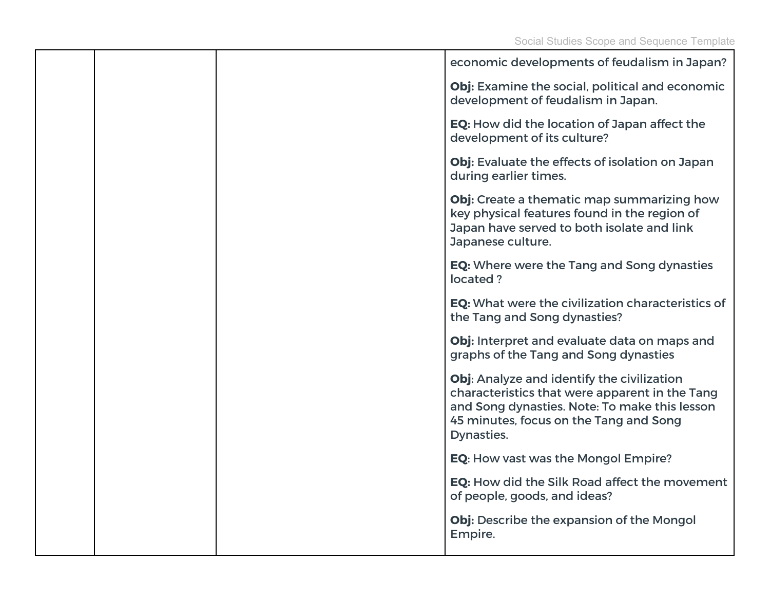|  | economic developments of feudalism in Japan?                                                                                                                                                          |
|--|-------------------------------------------------------------------------------------------------------------------------------------------------------------------------------------------------------|
|  | Obj: Examine the social, political and economic<br>development of feudalism in Japan.                                                                                                                 |
|  | EQ: How did the location of Japan affect the<br>development of its culture?                                                                                                                           |
|  | Obj: Evaluate the effects of isolation on Japan<br>during earlier times.                                                                                                                              |
|  | Obj: Create a thematic map summarizing how<br>key physical features found in the region of<br>Japan have served to both isolate and link<br>Japanese culture.                                         |
|  | <b>EQ:</b> Where were the Tang and Song dynasties<br>located?                                                                                                                                         |
|  | <b>EQ:</b> What were the civilization characteristics of<br>the Tang and Song dynasties?                                                                                                              |
|  | Obj: Interpret and evaluate data on maps and<br>graphs of the Tang and Song dynasties                                                                                                                 |
|  | Obj: Analyze and identify the civilization<br>characteristics that were apparent in the Tang<br>and Song dynasties. Note: To make this lesson<br>45 minutes, focus on the Tang and Song<br>Dynasties. |
|  | EQ: How vast was the Mongol Empire?                                                                                                                                                                   |
|  | <b>EQ:</b> How did the Silk Road affect the movement<br>of people, goods, and ideas?                                                                                                                  |
|  | Obj: Describe the expansion of the Mongol<br>Empire.                                                                                                                                                  |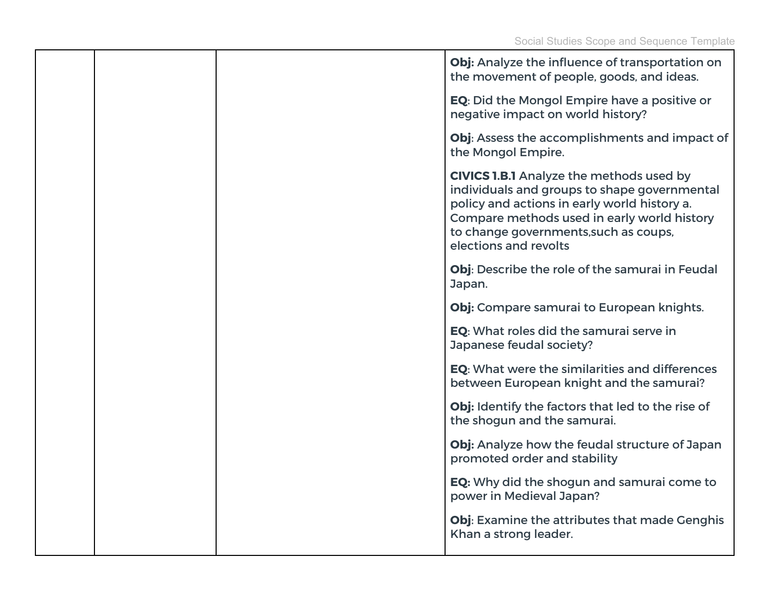|  | Obj: Analyze the influence of transportation on<br>the movement of people, goods, and ideas.                                                                                                                                                                     |
|--|------------------------------------------------------------------------------------------------------------------------------------------------------------------------------------------------------------------------------------------------------------------|
|  | <b>EQ:</b> Did the Mongol Empire have a positive or<br>negative impact on world history?                                                                                                                                                                         |
|  | Obj: Assess the accomplishments and impact of<br>the Mongol Empire.                                                                                                                                                                                              |
|  | <b>CIVICS 1.B.1</b> Analyze the methods used by<br>individuals and groups to shape governmental<br>policy and actions in early world history a.<br>Compare methods used in early world history<br>to change governments, such as coups,<br>elections and revolts |
|  | Obj: Describe the role of the samurai in Feudal<br>Japan.                                                                                                                                                                                                        |
|  | Obj: Compare samurai to European knights.                                                                                                                                                                                                                        |
|  | EQ: What roles did the samurai serve in<br>Japanese feudal society?                                                                                                                                                                                              |
|  | EQ: What were the similarities and differences<br>between European knight and the samurai?                                                                                                                                                                       |
|  | Obj: Identify the factors that led to the rise of<br>the shogun and the samurai.                                                                                                                                                                                 |
|  | Obj: Analyze how the feudal structure of Japan<br>promoted order and stability                                                                                                                                                                                   |
|  | <b>EQ:</b> Why did the shogun and samurai come to<br>power in Medieval Japan?                                                                                                                                                                                    |
|  | Obj: Examine the attributes that made Genghis<br>Khan a strong leader.                                                                                                                                                                                           |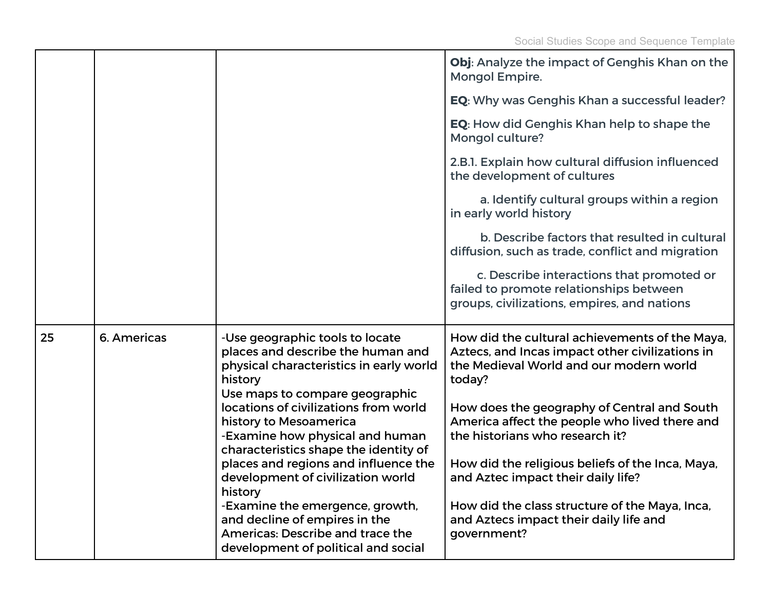|    |             |                                                                                                                                                              | Obj: Analyze the impact of Genghis Khan on the<br>Mongol Empire.                                                                                       |
|----|-------------|--------------------------------------------------------------------------------------------------------------------------------------------------------------|--------------------------------------------------------------------------------------------------------------------------------------------------------|
|    |             |                                                                                                                                                              | <b>EQ:</b> Why was Genghis Khan a successful leader?                                                                                                   |
|    |             |                                                                                                                                                              | <b>EQ:</b> How did Genghis Khan help to shape the<br>Mongol culture?                                                                                   |
|    |             |                                                                                                                                                              | 2.B.1. Explain how cultural diffusion influenced<br>the development of cultures                                                                        |
|    |             |                                                                                                                                                              | a. Identify cultural groups within a region<br>in early world history                                                                                  |
|    |             |                                                                                                                                                              | b. Describe factors that resulted in cultural<br>diffusion, such as trade, conflict and migration                                                      |
|    |             |                                                                                                                                                              | c. Describe interactions that promoted or<br>failed to promote relationships between<br>groups, civilizations, empires, and nations                    |
| 25 | 6. Americas | -Use geographic tools to locate<br>places and describe the human and<br>physical characteristics in early world<br>history<br>Use maps to compare geographic | How did the cultural achievements of the Maya,<br>Aztecs, and Incas impact other civilizations in<br>the Medieval World and our modern world<br>today? |
|    |             | locations of civilizations from world<br>history to Mesoamerica<br>-Examine how physical and human<br>characteristics shape the identity of                  | How does the geography of Central and South<br>America affect the people who lived there and<br>the historians who research it?                        |
|    |             | places and regions and influence the<br>development of civilization world<br>history                                                                         | How did the religious beliefs of the Inca, Maya,<br>and Aztec impact their daily life?                                                                 |
|    |             | -Examine the emergence, growth,<br>and decline of empires in the<br>Americas: Describe and trace the<br>development of political and social                  | How did the class structure of the Maya, Inca,<br>and Aztecs impact their daily life and<br>government?                                                |